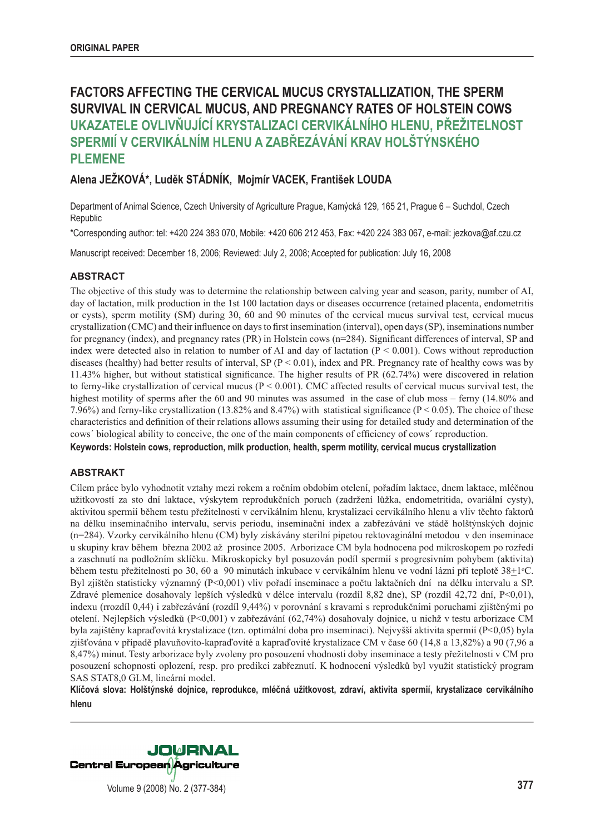# **FACTORS AFFECTING THE CERVICAL MUCUS CRYSTALLIZATION, THE SPERM SURVIVAL IN CERVICAL MUCUS, AND PREGNANCY RATES OF HOLSTEIN COWS UKAZATELE OVLIVŇUJÍCÍ KRYSTALIZACI CERVIKÁLNÍHO HLENU, PŘEŽITELNOST SPERMIÍ V CERVIKÁLNÍM HLENU A ZABŘEZÁVÁNÍ KRAV HOLŠTÝNSKÉHO PLEMENE**

# **Alena JEŽKOVÁ\*, Luděk STÁDNÍK, Mojmír VACEK, František LOUDA**

Department of Animal Science, Czech University of Agriculture Prague, Kamýcká 129, 165 21, Prague 6 – Suchdol, Czech Republic

\*Corresponding author: tel: +420 224 383 070, Mobile: +420 606 212 453, Fax: +420 224 383 067, e-mail: jezkova@af.czu.cz

Manuscript received: December 18, 2006; Reviewed: July 2, 2008; Accepted for publication: July 16, 2008

## **ABSTRACT**

The objective of this study was to determine the relationship between calving year and season, parity, number of AI, day of lactation, milk production in the 1st 100 lactation days or diseases occurrence (retained placenta, endometritis or cysts), sperm motility (SM) during 30, 60 and 90 minutes of the cervical mucus survival test, cervical mucus crystallization (CMC) and their influence on days to first insemination (interval), open days (SP), inseminations number for pregnancy (index), and pregnancy rates (PR) in Holstein cows (n=284). Significant differences of interval, SP and index were detected also in relation to number of AI and day of lactation  $(P < 0.001)$ . Cows without reproduction diseases (healthy) had better results of interval, SP ( $P < 0.01$ ), index and PR. Pregnancy rate of healthy cows was by 11.43% higher, but without statistical significance. The higher results of PR  $(62.74%)$  were discovered in relation to ferny-like crystallization of cervical mucus ( $P < 0.001$ ). CMC affected results of cervical mucus survival test, the highest motility of sperms after the 60 and 90 minutes was assumed in the case of club moss – ferny (14.80% and 7.96%) and ferny-like crystallization (13.82% and 8.47%) with statistical significance ( $P < 0.05$ ). The choice of these characteristics and definition of their relations allows assuming their using for detailed study and determination of the cows' biological ability to conceive, the one of the main components of efficiency of cows' reproduction.

**Keywords: Holstein cows, reproduction, milk production, health, sperm motility, cervical mucus crystallization** 

## **ABSTRAKT**

Cílem práce bylo vyhodnotit vztahy mezi rokem a ročním obdobím otelení, pořadím laktace, dnem laktace, mléčnou užitkovostí za sto dní laktace, výskytem reprodukčních poruch (zadržení lůžka, endometritida, ovariální cysty), aktivitou spermií během testu přežitelnosti v cervikálním hlenu, krystalizaci cervikálního hlenu a vliv těchto faktorů na délku inseminačního intervalu, servis periodu, inseminační index a zabřezávání ve stádě holštýnských dojnic (n=284). Vzorky cervikálního hlenu (CM) byly získávány sterilní pipetou rektovaginální metodou v den inseminace u skupiny krav během března 2002 až prosince 2005. Arborizace CM byla hodnocena pod mikroskopem po rozředí a zaschnutí na podložním sklíčku. Mikroskopicky byl posuzován podíl spermií s progresivním pohybem (aktivita) během testu přežitelnosti po 30, 60 a 90 minutách inkubace v cervikálním hlenu ve vodní lázni při teplotě  $38\pm1$ °C. Byl zjištěn statisticky významný (P<0,001) vliv pořadí inseminace a počtu laktačních dní na délku intervalu a SP. Zdravé plemenice dosahovaly lepších výsledků v délce intervalu (rozdíl 8,82 dne), SP (rozdíl 42,72 dní, P<0,01), indexu (rrozdíl 0,44) i zabřezávání (rozdíl 9,44%) v porovnání s kravami s reprodukčními poruchami zjištěnými po otelení. Nejlepších výsledků (P<0,001) v zabřezávání (62,74%) dosahovaly dojnice, u nichž v testu arborizace CM byla zajištěny kapraďovitá krystalizace (tzn. optimální doba pro inseminaci). Nejvyšší aktivita spermií (P<0,05) byla zjišťována v případě plavuňovito-kapraďovité a kapraďovité krystalizace CM v čase 60 (14,8 a 13,82%) a 90 (7,96 a 8,47%) minut. Testy arborizace byly zvoleny pro posouzení vhodnosti doby inseminace a testy přežitelnosti v CM pro posouzení schopnosti oplození, resp. pro predikci zabřeznutí. K hodnocení výsledků byl využit statistický program SAS STAT8,0 GLM, lineární model.

**Klíčová slova: Holštýnské dojnice, reprodukce, mléčná užitkovost, zdraví, aktivita spermií, krystalizace cervikálního hlenu**



Volume 9 (2008) No. 2 (377-384) **377**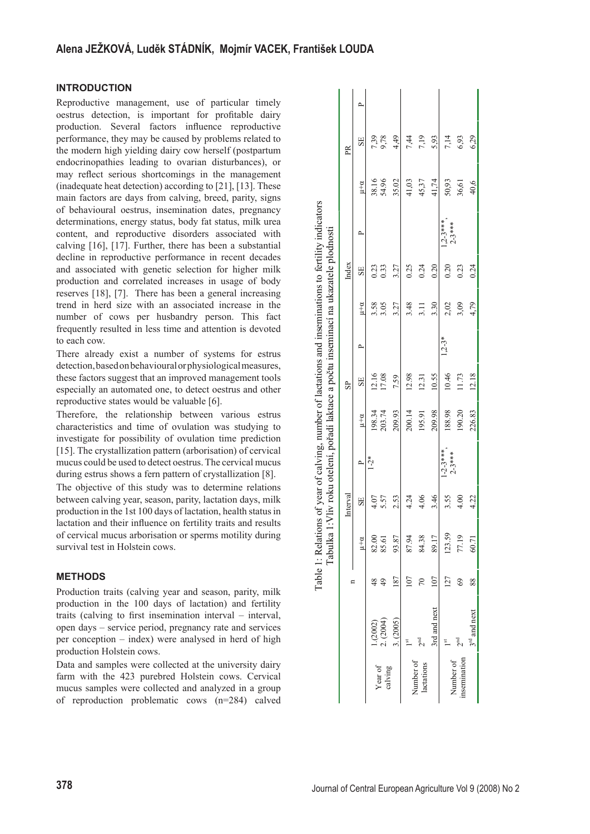# **INTRODUCTION**

Reproductive management, use of particular timely oestrus detection, is important for profitable dairy production. Several factors influence reproductive performance, they may be caused by problems related to the modern high yielding dairy cow herself (postpartum endocrinopathies leading to ovarian disturbances), or may reflect serious shortcomings in the management (inadequate heat detection) according to [21], [13]. These main factors are days from calving, breed, parity, signs of behavioural oestrus, insemination dates, pregnancy determinations, energy status, body fat status, milk urea content, and reproductive disorders associated with calving [16], [17]. Further, there has been a substantial decline in reproductive performance in recent decades and associated with genetic selection for higher milk production and correlated increases in usage of body reserves [18], [7]. There has been a general increasing trend in herd size with an associated increase in the number of cows per husbandry person. This fact frequently resulted in less time and attention is devoted to each cow.

There already exist a number of systems for estrus detection, based on behavioural or physiological measures, these factors suggest that an improved management tools especially an automated one, to detect oestrus and other reproductive states would be valuable [6].

Therefore, the relationship between various estrus characteristics and time of ovulation was studying to investigate for possibility of ovulation time prediction [15]. The crystallization pattern (arborisation) of cervical mucus could be used to detect oestrus. The cervical mucus during estrus shows a fern pattern of crystallization [8].

The objective of this study was to determine relations between calving year, season, parity, lactation days, milk production in the 1st 100 days of lactation, health status in lactation and their influence on fertility traits and results of cervical mucus arborisation or sperms motility during survival test in Holstein cows.

# **METHODS**

Production traits (calving year and season, parity, milk production in the 100 days of lactation) and fertility traits (calving to first insemination interval – interval, open days – service period, pregnancy rate and services per conception – index) were analysed in herd of high production Holstein cows.

Data and samples were collected at the university dairy farm with the 423 purebred Holstein cows. Cervical mucus samples were collected and analyzed in a group of reproduction problematic cows (n=284) calved

|                          |                            |                | Tabulka        |          | 1: Vliv roku otelení, pořadí laktace a počtu inseminací na ukazatele plodnosti |                  |                |          |                  |                                             |                        |                |              |  |
|--------------------------|----------------------------|----------------|----------------|----------|--------------------------------------------------------------------------------|------------------|----------------|----------|------------------|---------------------------------------------|------------------------|----------------|--------------|--|
|                          |                            |                |                | Interval |                                                                                |                  | S <sub>P</sub> |          |                  | Index                                       |                        |                | $\mathbb{R}$ |  |
|                          |                            |                | $\mu + \alpha$ | SE       | $\sim$                                                                         | $\mu + \alpha$   | SE             | Δ        | $\mu + \alpha$   | SE                                          | $\mathbf{r}$           | $\mu + \alpha$ | SE           |  |
| Year of                  | $1. (2002)$<br>2. $(2004)$ | 49             | 82.00<br>85.61 | 4.07     | $\frac{1}{2}$                                                                  | 198.34<br>203.74 | 12.16<br>17.08 |          | $3.58$<br>$3.05$ | $\begin{array}{c} 0.23 \\ 0.33 \end{array}$ |                        | 38.16<br>54.96 | 7,39<br>9,78 |  |
| calving                  | (2005)                     | 187            | 93.87          | 2.53     |                                                                                | 209.93           | 7.59           |          | 3.27             | 3.27                                        |                        | 35.02          | 4,49         |  |
|                          |                            |                | 87.94          | 4.24     |                                                                                | 200.14           | 12.98          |          | 3.48             | 0.25                                        |                        | 41,03          | 7,44         |  |
| Number of<br>lactations  |                            | $\overline{2}$ | 84.38          | 4.06     |                                                                                | 195.91           | 12.31          |          | 3.11             | 0.24                                        |                        | 45,37          | 7,19         |  |
|                          | 3rd and next               | $\overline{5}$ | 89.17          | 3.46     |                                                                                | 209.98           | 10.55          |          | 3.30             | 0.20                                        |                        | 41,74          | 5,93         |  |
|                          |                            | 127            | 123.59         | 3.55     | $1-2-3***$<br>2-3***                                                           | 188.98           | 10.46          | $1,2-3*$ |                  | 0.20                                        | $1,2-3***$<br>$2-3***$ | 50,93          | 7,14         |  |
| nsemination<br>Number of |                            | 69             | 77.19          | 4.00     |                                                                                | 190.20           | 11.73          |          | $2,02$<br>3,09   | 0.23                                        |                        | 36,61          | 6,93         |  |
|                          | $3rd$ and next             | $_{88}$        | 60.71          | 4.22     |                                                                                | 226.83           | 12.18          |          | 4,79             | 0.24                                        |                        | 40,6           | 6,29         |  |

Table 1: Relations of year of calving, number of lactations and inseminations to fertility indicators

Table 1: Relations of year of calving, number of lactations and inseminations to fertility indicators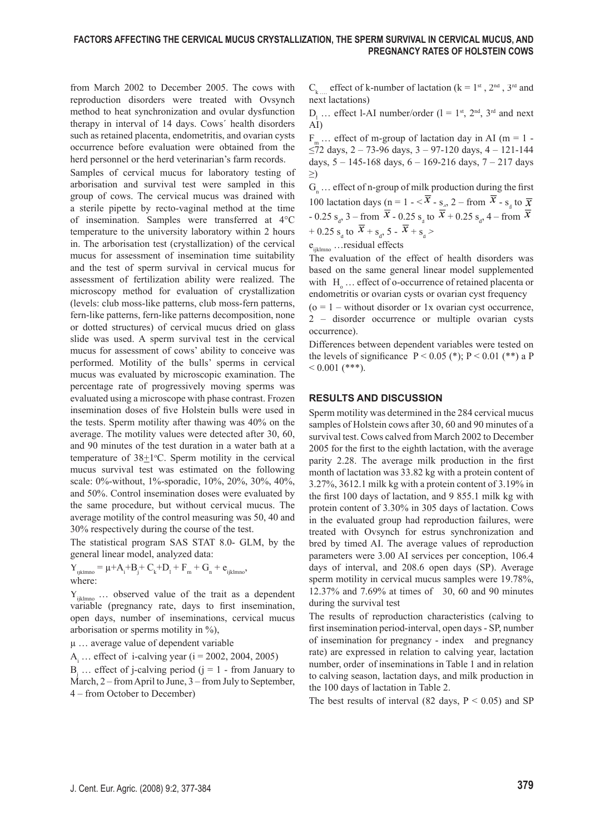from March 2002 to December 2005. The cows with reproduction disorders were treated with Ovsynch method to heat synchronization and ovular dysfunction therapy in interval of 14 days. Cows´ health disorders such as retained placenta, endometritis, and ovarian cysts occurrence before evaluation were obtained from the herd personnel or the herd veterinarian's farm records.

Samples of cervical mucus for laboratory testing of arborisation and survival test were sampled in this group of cows. The cervical mucus was drained with a sterile pipette by recto-vaginal method at the time of insemination. Samples were transferred at 4°C temperature to the university laboratory within 2 hours in. The arborisation test (crystallization) of the cervical mucus for assessment of insemination time suitability and the test of sperm survival in cervical mucus for assessment of fertilization ability were realized. The microscopy method for evaluation of crystallization (levels: club moss-like patterns, club moss-fern patterns, fern-like patterns, fern-like patterns decomposition, none or dotted structures) of cervical mucus dried on glass slide was used. A sperm survival test in the cervical mucus for assessment of cows' ability to conceive was performed. Motility of the bulls' sperms in cervical mucus was evaluated by microscopic examination. The percentage rate of progressively moving sperms was evaluated using a microscope with phase contrast. Frozen insemination doses of five Holstein bulls were used in the tests. Sperm motility after thawing was 40% on the average. The motility values were detected after 30, 60, and 90 minutes of the test duration in a water bath at a temperature of  $38\pm1$ °C. Sperm motility in the cervical mucus survival test was estimated on the following scale: 0%-without, 1%-sporadic, 10%, 20%, 30%, 40%, and 50%. Control insemination doses were evaluated by the same procedure, but without cervical mucus. The average motility of the control measuring was 50, 40 and 30% respectively during the course of the test.

The statistical program SAS STAT 8.0- GLM, by the general linear model, analyzed data:

 $Y_{ijklmno} = \mu + A_i + B_j + C_k + D_l + F_m + G_n + e_{ijklmno},$ where:

 $Y_{iiklmno}$  ... observed value of the trait as a dependent variable (pregnancy rate, days to first insemination, open days, number of inseminations, cervical mucus arborisation or sperms motility in %),

µ … average value of dependent variable

 $A_i$  ... effect of i-calving year (i = 2002, 2004, 2005)

 $B_j$  ... effect of j-calving period (j = 1 - from January to March, 2 – from April to June, 3 – from July to September, 4 – from October to December)

 $C_k$  effect of k-number of lactation (k = 1st, 2nd, 3rd and next lactations)

 $D_1$  ... effect l-AI number/order (1 = 1<sup>st</sup>, 2<sup>nd</sup>, 3<sup>rd</sup> and next AI)

F<sub>m</sub> … effect of m-group of lactation day in AI (m = 1 - $\leq$ 72 days, 2 – 73-96 days, 3 – 97-120 days, 4 – 121-144 days,  $5 - 145 - 168$  days,  $6 - 169 - 216$  days,  $7 - 217$  days ≥)

 $G_n$  ... effect of n-group of milk production during the first  $G_n$  ... effect of n-group of milk production during the first<br>100 lactation days (n = 1 -  $\overline{x}$  - s<sub>a</sub>, 2 – from  $\overline{x}$  - s<sub>a</sub> to  $\overline{x}$ - 0.25 s<sub>a</sub>, 3 – from  $\frac{z_3}{x}$  – 0.25 s<sub>a</sub>, to  $\frac{z_4}{x}$  + 0.25 s<sub>a</sub>, 4 – from + 0.25 s<sub>d</sub> to  $x + s_d$ , 5 -  $x + s_d$ 

e<sub>iiklmno</sub> …residual effects

The evaluation of the effect of health disorders was based on the same general linear model supplemented with  $H_0 \ldots$  effect of o-occurrence of retained placenta or endometritis or ovarian cysts or ovarian cyst frequency

 $(0 = 1 -$  without disorder or 1x ovarian cyst occurrence, 2 – disorder occurrence or multiple ovarian cysts occurrence).

Differences between dependent variables were tested on the levels of significance  $P < 0.05$  (\*);  $P < 0.01$  (\*\*) a P  $0.001$  (\*\*\*).

## **RESULTS AND DISCUSSION**

Sperm motility was determined in the 284 cervical mucus samples of Holstein cows after 30, 60 and 90 minutes of a survival test. Cows calved from March 2002 to December 2005 for the first to the eighth lactation, with the average parity 2.28. The average milk production in the first month of lactation was 33.82 kg with a protein content of 3.27%, 3612.1 milk kg with a protein content of 3.19% in the first 100 days of lactation, and  $9855.1$  milk kg with protein content of 3.30% in 305 days of lactation. Cows in the evaluated group had reproduction failures, were treated with Ovsynch for estrus synchronization and bred by timed AI. The average values of reproduction parameters were 3.00 AI services per conception, 106.4 days of interval, and 208.6 open days (SP). Average sperm motility in cervical mucus samples were 19.78%, 12.37% and 7.69% at times of 30, 60 and 90 minutes during the survival test

The results of reproduction characteristics (calving to first insemination period-interval, open days - SP, number of insemination for pregnancy - index and pregnancy rate) are expressed in relation to calving year, lactation number, order of inseminations in Table 1 and in relation to calving season, lactation days, and milk production in the 100 days of lactation in Table 2.

The best results of interval (82 days,  $P \le 0.05$ ) and SP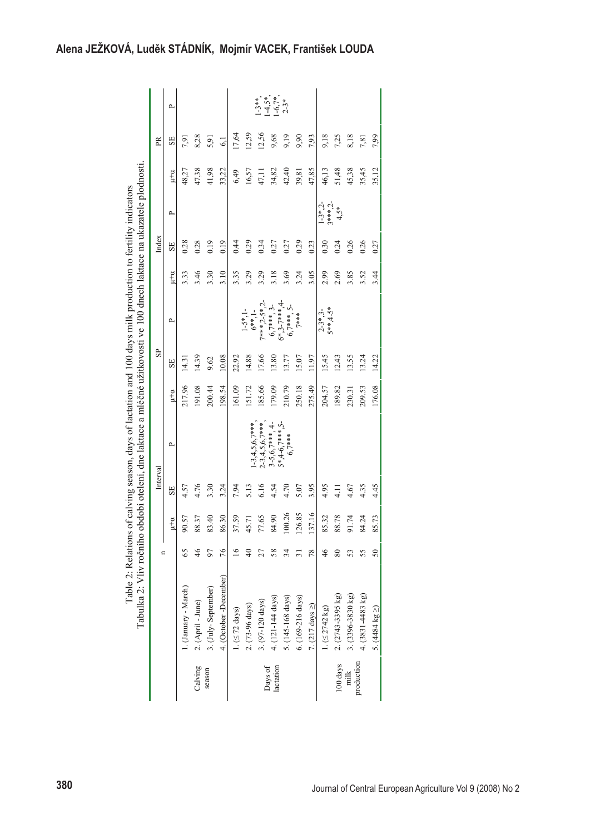|                      | Tabulka 2: Vliv ročního       |    |                |                | období otelení, dne laktace a mléčné užitkovosti ve 100 dnech laktace na ukazatele plodnosti<br>Table 2: Relations of calving season, days of lactation and 100 days milk production to fertility indicators |                |              |                               |       |       |                        |                |                |                                              |
|----------------------|-------------------------------|----|----------------|----------------|--------------------------------------------------------------------------------------------------------------------------------------------------------------------------------------------------------------|----------------|--------------|-------------------------------|-------|-------|------------------------|----------------|----------------|----------------------------------------------|
|                      |                               |    |                | Interval       |                                                                                                                                                                                                              |                | $_{\rm{SP}}$ |                               |       | Index |                        |                | PR             |                                              |
|                      |                               |    | $\mu + \alpha$ | SE             | <b>p</b>                                                                                                                                                                                                     | $\mu + \alpha$ | SE           | <b>p</b>                      | $u+u$ | SE    | <b>p</b>               | $\mu + \alpha$ | SE             | $\sim$                                       |
|                      | 1. (January - March)          | 65 | 90.57          | 4.57           |                                                                                                                                                                                                              | 217.96         | 14.31        |                               | 3.33  | 0.28  |                        | 48,27          | 7,91           |                                              |
| Calving              | 2. (April - June)             | 46 | 88.37          | 4.76           |                                                                                                                                                                                                              | 191.08         | 14.39        |                               | 3.46  | 0.28  |                        | 47,38          | 8,28           |                                              |
| season               | 3. (July-September)           |    | 83.40          | 3.30           |                                                                                                                                                                                                              | 200.44         | 9.62         |                               | 3.30  | 0.19  |                        | 41,98          | 5,91           |                                              |
|                      | 4. (October-December)         | 76 | 86.30          | 3.24           |                                                                                                                                                                                                              | 198.54         | 10.08        |                               | 3.10  | 0.19  |                        | 33,22          | $\overline{6}$ |                                              |
|                      | 1. $(\leq 72 \text{ days})$   | c  | 37.59          | 7.94           |                                                                                                                                                                                                              | 161.09         | 22.92        |                               | 3.35  | 0.44  |                        | 6,49           | 17,64          |                                              |
|                      | 2. (73-96 days)               |    | 45.71          | 5.13           | $1-3,4,5,6,7$ ***                                                                                                                                                                                            | 151.72         | 14.88        | $1-5*1-$<br>$6***1-$          | 3.29  | 0.29  |                        | 16,57          | 12,59          |                                              |
|                      | 3. (97-120 days)              |    | 77.65          | 6.16           | $2-3,4,5,6,7$ ***                                                                                                                                                                                            | 185.66         | 17.66        | $7***, 2-5*.2$                | 3.29  | 0.34  |                        | 47,11          | 12,56          | $1-3**$<br>$1-4.5**$<br>$1-6.7**$<br>$2-3**$ |
| lactation<br>Days of | 4. (121-144 days)             | 88 | 84.90          | 4.54           | $3-5,6,7***,4-$                                                                                                                                                                                              | 179.09         | 13.80        | $6.7***$ , 3-                 | 3.18  | 0.27  |                        | 34,82          | 9,68           |                                              |
|                      | 5. (145-168 days)             |    | 100.26         | 4.70           | $5*.4-6.7***.5-$<br>$6,7***$                                                                                                                                                                                 | 210.79         | 13.77        | $6*3-7***$ , 5-<br>6,7***, 5- | 3.69  | 0.27  |                        | 42,40          | 9,19           |                                              |
|                      | 6. (169-216 days)             |    | 126.85         | 5.07           |                                                                                                                                                                                                              | 250.18         | 15.07        | 7***                          | 3.24  | 0.29  |                        | 39,81          | 9,90           |                                              |
|                      | 7. $(217 \text{ days} \geq)$  | 78 | 137.16         | 3.95           |                                                                                                                                                                                                              | 275.49         | 11.97        |                               | 3.05  | 0.23  |                        | 47,85          | 7,93           |                                              |
|                      | $1. (\leq 2742 \text{ kg})$   | 46 | 85.32          | 4.95           |                                                                                                                                                                                                              | 204.57         | 15.45        | $5**4-5*$<br>$2-3*3-$         | 2.99  | 0.30  | $1-3*$ , 2-<br>3*** 2- | 46,13          | 9,18           |                                              |
| 100 days             | 2. (2743-3395 kg)             |    | 88.78          | $\frac{11}{4}$ |                                                                                                                                                                                                              | 189.82         | 12.43        |                               | 2.69  | 0.24  | $4,5*$                 | 51,48          | 7,25           |                                              |
| milk                 | 3. (3396-3830 kg)             |    | 91.74          | 4.67           |                                                                                                                                                                                                              | 230.31         | 13.55        |                               | 3.85  | 0.26  |                        | 45,38          | 8,18           |                                              |
| production           | 4. $(3831 - 4483 \text{ kg})$ | 55 | 84.24          | 4.35           |                                                                                                                                                                                                              | 209.53         | 13.24        |                               | 3.52  | 0.26  |                        | 35,45          | 7,81           |                                              |
|                      | 5. $(4484 \text{ kg} \geq)$   |    | 85.73          | 4.45           |                                                                                                                                                                                                              | 176.08         | 14.22        |                               | 3.44  | 0.27  |                        | 35,12          | 7,99           |                                              |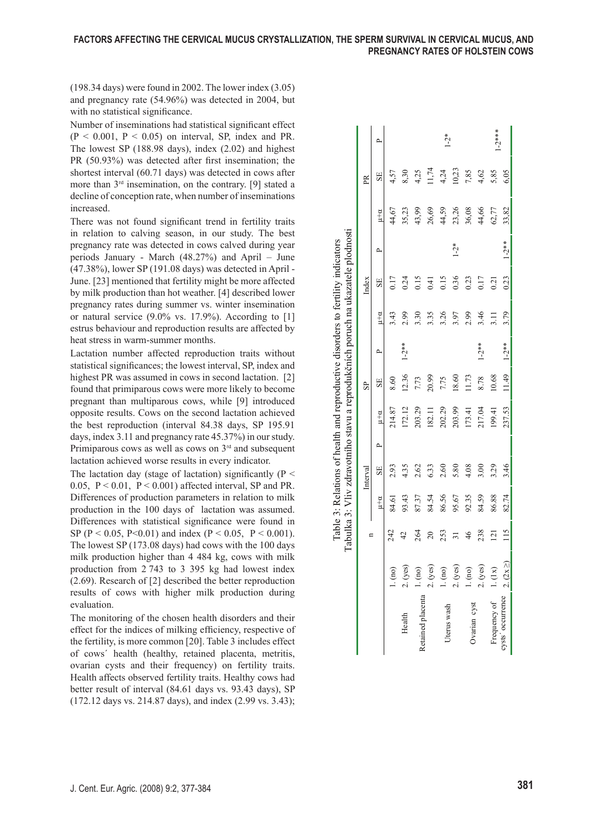(198.34 days) were found in 2002. The lower index (3.05) and pregnancy rate (54.96%) was detected in 2004, but with no statistical significance.

Number of inseminations had statistical significant effect  $(P < 0.001, P < 0.05)$  on interval, SP, index and PR. The lowest SP (188.98 days), index (2.02) and highest PR (50.93%) was detected after first insemination; the shortest interval (60.71 days) was detected in cows after more than  $3<sup>rd</sup>$  insemination, on the contrary. [9] stated a decline of conception rate, when number of inseminations increased.

There was not found significant trend in fertility traits in relation to calving season, in our study. The best pregnancy rate was detected in cows calved during year periods January - March (48.27%) and April – June (47.38%), lower SP (191.08 days) was detected in April - June. [23] mentioned that fertility might be more affected by milk production than hot weather. [4] described lower pregnancy rates during summer vs. winter insemination or natural service  $(9.0\% \text{ vs. } 17.9\%)$ . According to [1] estrus behaviour and reproduction results are affected by heat stress in warm-summer months.

Lactation number affected reproduction traits without statistical significances; the lowest interval, SP, index and highest PR was assumed in cows in second lactation. [2] found that primiparous cows were more likely to become pregnant than multiparous cows, while [9] introduced opposite results. Cows on the second lactation achieved the best reproduction (interval 84.38 days, SP 195.91 days, index 3.11 and pregnancy rate 45.37%) in our study. Primiparous cows as well as cows on 3rd and subsequent lactation achieved worse results in every indicator.

The lactation day (stage of lactation) significantly ( $P \leq$ 0.05,  $P \le 0.01$ ,  $P \le 0.001$ ) affected interval, SP and PR. Differences of production parameters in relation to milk production in the 100 days of lactation was assumed. Differences with statistical significance were found in SP (P < 0.05, P < 0.01) and index (P < 0.05, P < 0.001). The lowest SP (173.08 days) had cows with the 100 days milk production higher than 4 484 kg, cows with milk production from 2 743 to 3 395 kg had lowest index (2.69). Research of [2] described the better reproduction results of cows with higher milk production during evaluation.

The monitoring of the chosen health disorders and their effect for the indices of milking efficiency, respective of the fertility, is more common [20]. Table 3 includes effect of cows´ health (healthy, retained placenta, metritis, ovarian cysts and their frequency) on fertility traits. Health affects observed fertility traits. Healthy cows had better result of interval (84.61 days vs. 93.43 days), SP (172.12 days vs. 214.87 days), and index (2.99 vs. 3.43);

|                                   |                                                                 |                |                |          |        |                |                |                          |                | Tabulka 3: Vliv zdravotního stavu a reprodukčních poruch na ukazatele plodnosti |            |                |       |             |
|-----------------------------------|-----------------------------------------------------------------|----------------|----------------|----------|--------|----------------|----------------|--------------------------|----------------|---------------------------------------------------------------------------------|------------|----------------|-------|-------------|
|                                   |                                                                 |                |                | Interval |        |                | SP <sub></sub> |                          |                | Index                                                                           |            |                | PR    |             |
|                                   |                                                                 |                | $\mu + \alpha$ | SE       | $\sim$ | $\mu + \alpha$ | SF.            | $\overline{\phantom{a}}$ | $\mu + \alpha$ | SE                                                                              | ≏          | $\mu + \alpha$ | SE    |             |
|                                   |                                                                 | 242            | 84.61          | 2.93     |        | 214.87         | 8.60           |                          | 3.43           | 0.17                                                                            |            | 44,67          | 4,57  |             |
| Health                            | 1. (no)<br>2. (yes)                                             |                | 93.43          | 4.35     |        | 172.12         | 12.36          | $1 - 2$ **               | 2.99           | 0.24                                                                            |            | 35,23          | 8,30  |             |
| Retained placenta                 |                                                                 | 264            | 87.37          | 2.62     |        | 203.29         | 7.73           |                          | 3.30           | 0.15                                                                            |            | 43,99          | 4,25  |             |
|                                   | 1. (no)<br>2. (yes)<br>1. (no)<br>1. (no)<br>1. (1x)<br>1. (1x) | $\overline{c}$ | 84.54          | 6.33     |        | 182.11         | 20.99          |                          | 3.35           | 0.41                                                                            |            | 26,69          | 1,74  |             |
| Uterus wash                       |                                                                 | 253            | 86.56          | 2.60     |        | 202.29         | 7.75           |                          | 3.26           | 0.15                                                                            |            | 44,59          | 4,24  | $1 - 2 *$   |
|                                   |                                                                 |                | 95.67          | 5.80     |        | 203.99         | 18.60          |                          | 3.97           | 0.36                                                                            | $1 - 2 *$  | 23,26          | 10,23 |             |
| Ovarian cyst                      |                                                                 |                | 92.35          | 4.08     |        | 173.41         | 11.73          |                          | 2.99           | 0.23                                                                            |            |                | 7,85  |             |
|                                   |                                                                 | 238            | 84.59          | 3.00     |        | 217.04         | 8.78           | $1 - 2**$                | 3.46           | 0.17                                                                            |            | 36,08<br>44,66 | 4,62  |             |
| Frequency of<br>cysts' occurrence |                                                                 | 121            | 86.88          | 3.29     |        | 199.41         | 10.68          |                          | 3.11           | 0.21                                                                            |            | 62,77          | 5,85  | $1 - 2$ *** |
|                                   | $2. (2x \geq)$                                                  | $\frac{5}{2}$  | 82.74          | 3.46     |        | 237.53         | (1.49)         | $1 - 2**$                | 3.79           | 0.23                                                                            | $1 - 2$ ** | 33,82          | 6,05  |             |

Table 3: Relations of health and reproductive disorders to fertility indicators Table 3: Relations of health and reproductive disorders to fertility indicators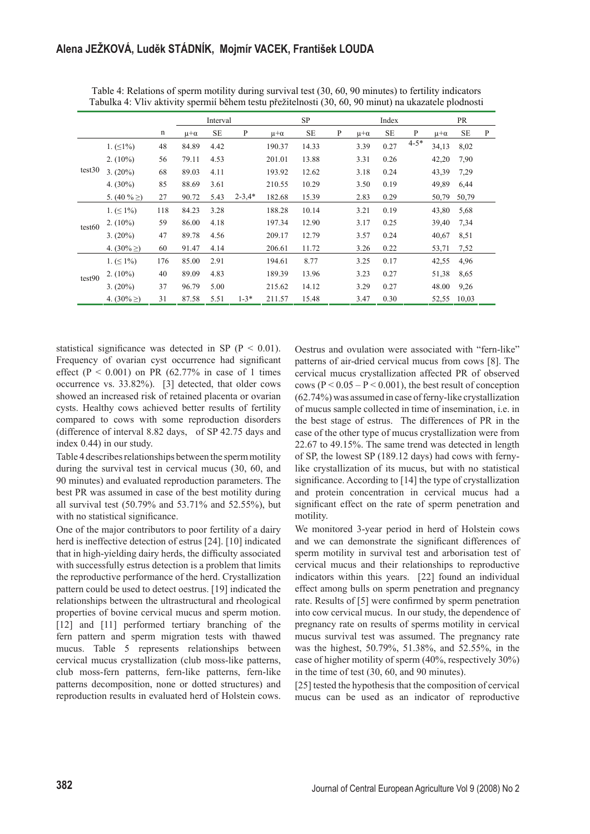|        |                  |             |                | Interval  |            |                | SP       |   |                | Index     |          |                | PR        |   |
|--------|------------------|-------------|----------------|-----------|------------|----------------|----------|---|----------------|-----------|----------|----------------|-----------|---|
|        |                  | $\mathbf n$ | $\mu + \alpha$ | <b>SE</b> | P          | $\mu + \alpha$ | $\rm SE$ | P | $\mu + \alpha$ | <b>SE</b> | P        | $\mu + \alpha$ | <b>SE</b> | P |
|        | 1. $( \leq 1\%)$ | 48          | 84.89          | 4.42      |            | 190.37         | 14.33    |   | 3.39           | 0.27      | $4 - 5*$ | 34,13          | 8,02      |   |
|        | $2. (10\%)$      | 56          | 79.11          | 4.53      |            | 201.01         | 13.88    |   | 3.31           | 0.26      |          | 42,20          | 7,90      |   |
| test30 | $3. (20\%)$      | 68          | 89.03          | 4.11      |            | 193.92         | 12.62    |   | 3.18           | 0.24      |          | 43,39          | 7,29      |   |
|        | 4. $(30\%)$      | 85          | 88.69          | 3.61      |            | 210.55         | 10.29    |   | 3.50           | 0.19      |          | 49,89          | 6,44      |   |
|        | 5. $(40\% \geq)$ | 27          | 90.72          | 5.43      | $2 - 3.4*$ | 182.68         | 15.39    |   | 2.83           | 0.29      |          | 50,79          | 50,79     |   |
| test60 | $1. ( \leq 1\%)$ | 118         | 84.23          | 3.28      |            | 188.28         | 10.14    |   | 3.21           | 0.19      |          | 43,80          | 5,68      |   |
|        | $2. (10\%)$      | 59          | 86.00          | 4.18      |            | 197.34         | 12.90    |   | 3.17           | 0.25      |          | 39,40          | 7,34      |   |
|        | $3. (20\%)$      | 47          | 89.78          | 4.56      |            | 209.17         | 12.79    |   | 3.57           | 0.24      |          | 40,67          | 8,51      |   |
|        | 4. $(30\% \geq)$ | 60          | 91.47          | 4.14      |            | 206.61         | 11.72    |   | 3.26           | 0.22      |          | 53,71          | 7,52      |   |
|        | 1. $( \leq 1\%)$ | 176         | 85.00          | 2.91      |            | 194.61         | 8.77     |   | 3.25           | 0.17      |          | 42,55          | 4,96      |   |
| test90 | $2. (10\%)$      | 40          | 89.09          | 4.83      |            | 189.39         | 13.96    |   | 3.23           | 0.27      |          | 51,38          | 8.65      |   |
|        | $3. (20\%)$      | 37          | 96.79          | 5.00      |            | 215.62         | 14.12    |   | 3.29           | 0.27      |          | 48.00          | 9,26      |   |
|        | 4. $(30\% \geq)$ | 31          | 87.58          | 5.51      | $1 - 3*$   | 211.57         | 15.48    |   | 3.47           | 0.30      |          | 52,55          | 10,03     |   |

Table 4: Relations of sperm motility during survival test (30, 60, 90 minutes) to fertility indicators Tabulka 4: Vliv aktivity spermií během testu přežitelnosti (30, 60, 90 minut) na ukazatele plodnosti

statistical significance was detected in SP ( $P < 0.01$ ). Frequency of ovarian cyst occurrence had significant effect ( $P < 0.001$ ) on PR (62.77% in case of 1 times occurrence vs. 33.82%). [3] detected, that older cows showed an increased risk of retained placenta or ovarian cysts. Healthy cows achieved better results of fertility compared to cows with some reproduction disorders (difference of interval 8.82 days, of SP 42.75 days and index 0.44) in our study.

Table 4 describes relationships between the sperm motility during the survival test in cervical mucus (30, 60, and 90 minutes) and evaluated reproduction parameters. The best PR was assumed in case of the best motility during all survival test (50.79% and 53.71% and 52.55%), but with no statistical significance.

One of the major contributors to poor fertility of a dairy herd is ineffective detection of estrus [24]. [10] indicated that in high-yielding dairy herds, the difficulty associated with successfully estrus detection is a problem that limits the reproductive performance of the herd. Crystallization pattern could be used to detect oestrus. [19] indicated the relationships between the ultrastructural and rheological properties of bovine cervical mucus and sperm motion. [12] and [11] performed tertiary branching of the fern pattern and sperm migration tests with thawed mucus. Table 5 represents relationships between cervical mucus crystallization (club moss-like patterns, club moss-fern patterns, fern-like patterns, fern-like patterns decomposition, none or dotted structures) and reproduction results in evaluated herd of Holstein cows.

Oestrus and ovulation were associated with "fern-like" patterns of air-dried cervical mucus from cows [8]. The cervical mucus crystallization affected PR of observed cows  $(P < 0.05 - P < 0.001)$ , the best result of conception (62.74%) was assumed in case of ferny-like crystallization of mucus sample collected in time of insemination, i.e. in the best stage of estrus. The differences of PR in the case of the other type of mucus crystallization were from 22.67 to 49.15%. The same trend was detected in length of SP, the lowest SP (189.12 days) had cows with fernylike crystallization of its mucus, but with no statistical significance. According to  $[14]$  the type of crystallization and protein concentration in cervical mucus had a significant effect on the rate of sperm penetration and motility.

We monitored 3-year period in herd of Holstein cows and we can demonstrate the significant differences of sperm motility in survival test and arborisation test of cervical mucus and their relationships to reproductive indicators within this years. [22] found an individual effect among bulls on sperm penetration and pregnancy rate. Results of [5] were confirmed by sperm penetration into cow cervical mucus. In our study, the dependence of pregnancy rate on results of sperms motility in cervical mucus survival test was assumed. The pregnancy rate was the highest, 50.79%, 51.38%, and 52.55%, in the case of higher motility of sperm (40%, respectively 30%) in the time of test (30, 60, and 90 minutes).

[25] tested the hypothesis that the composition of cervical mucus can be used as an indicator of reproductive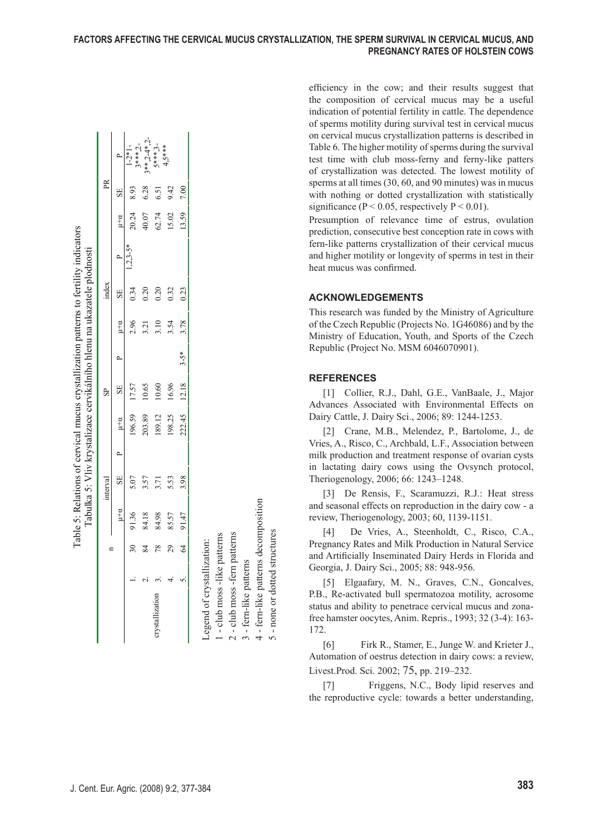efficiency in the cow; and their results suggest that the composition of cervical mucus may be a useful indication of potential fertility in cattle. The dependence of sperms motility during survival test in cervical mucus on cervical mucus crystallization patterns is described in Table 6. The higher motility of sperms during the survival test time with club moss-ferny and ferny-like patters of crystallization was detected. The lowest motility of sperms at all times (30, 60, and 90 minutes) was in mucus with nothing or dotted crystallization with statistically significance ( $P < 0.05$ , respectively  $P < 0.01$ ).

#### **ACKNOWLEDGEMENTS**

#### **REFERENCES**

|             | $\sim$         | $3***.2$<br>$-2*1$ | $**2-4*$       | 5***            |           |          |                                                                                                                                                                                                           | Table 6. The higher motility of sperms during the survival<br>test time with club moss-ferny and ferny-like patters<br>of crystallization was detected. The lowest motility of |
|-------------|----------------|--------------------|----------------|-----------------|-----------|----------|-----------------------------------------------------------------------------------------------------------------------------------------------------------------------------------------------------------|--------------------------------------------------------------------------------------------------------------------------------------------------------------------------------|
| PR          | SE             | 8.93               | 6.28           | 6.51            | 9.42      | 7.00     |                                                                                                                                                                                                           | sperms at all times (30, 60, and 90 minutes) was in mucus<br>with nothing or dotted crystallization with statistically                                                         |
|             | $\mu + \alpha$ | 20.24              | 40.07          | 62.74           | 15.02     | 13.59    |                                                                                                                                                                                                           | significance ( $P < 0.05$ , respectively $P < 0.01$ ).<br>Presumption of relevance time of estrus, ovulation<br>prediction, consecutive best conception rate in cows with      |
|             | $\sim$         | $3 - 5*$<br>ų      |                |                 |           |          |                                                                                                                                                                                                           | fern-like patterns crystallization of their cervical mucus<br>and higher motility or longevity of sperms in test in their<br>heat mucus was confirmed.                         |
| index       | SE             | 0.34               | 0.20           | 0.20            | 0.32      | 0.23     |                                                                                                                                                                                                           | <b>ACKNOWLEDGEMENTS</b>                                                                                                                                                        |
|             | $\mu + \alpha$ | 2.96               | 3.21           | 3.10            | 3.54      | 3.78     |                                                                                                                                                                                                           | This research was funded by the Ministry of Agriculture<br>of the Czech Republic (Projects No. 1G46086) and by the<br>Ministry of Education, Youth, and Sports of the Czech    |
|             | $\sim$         |                    |                |                 |           | $3 - 5*$ |                                                                                                                                                                                                           | Republic (Project No. MSM 6046070901).                                                                                                                                         |
|             | $_{\rm SE}$    | 17.57              | 10.65          | 10.60           | 16.96     | 12.18    |                                                                                                                                                                                                           | <b>REFERENCES</b>                                                                                                                                                              |
| $_{\rm SP}$ |                |                    |                |                 |           |          |                                                                                                                                                                                                           | [1] Collier, R.J., Dahl, G.E., VanBaale, J., Major<br>Advances Associated with Environmental Effects on                                                                        |
|             | $\mu + \alpha$ | 196.59             | 203.89         | 189.12          | 198.25    | 222.45   |                                                                                                                                                                                                           | Dairy Cattle, J. Dairy Sci., 2006; 89: 1244-1253.<br>[2] Crane, M.B., Melendez, P., Bartolome, J., de                                                                          |
|             | ≏              |                    |                |                 |           |          |                                                                                                                                                                                                           | Vries, A., Risco, C., Archbald, L.F., Association between<br>milk production and treatment response of ovarian cysts                                                           |
|             | $\rm{SE}$      | 5.07               | 3.57           | 3.71            | 5.53      | 3.98     |                                                                                                                                                                                                           | in lactating dairy cows using the Ovsynch protocol,<br>Theriogenology, 2006; 66: 1243-1248.                                                                                    |
| interval    | $\mu + \alpha$ | 91.36              | 84.18          | 84.98           | 85.57     | 91.47    |                                                                                                                                                                                                           | [3] De Rensis, F., Scaramuzzi, R.J.: Heat stress<br>and seasonal effects on reproduction in the dairy cow - a<br>review, Theriogenology, 2003; 60, 1139-1151.                  |
| n           |                | $\approx$          | $\frac{84}{3}$ |                 | $78$ 29 4 |          |                                                                                                                                                                                                           | De Vries, A., Steenholdt, C., Risco, C.A.,<br>[4]<br>Pregnancy Rates and Milk Production in Natural Service                                                                    |
|             |                |                    |                |                 |           |          |                                                                                                                                                                                                           | and Artificially Inseminated Dairy Herds in Florida and<br>Georgia, J. Dairy Sci., 2005; 88: 948-956.                                                                          |
|             |                |                    |                |                 |           | 5        |                                                                                                                                                                                                           | [5] Elgaafary, M. N., Graves, C.N., Goncalves,<br>P.B., Re-activated bull spermatozoa motility, acrosome                                                                       |
|             |                |                    |                | crystallization |           |          | 1 - club moss -like patterns<br>2 - club moss -fern patterns<br>3 - fern-like patterns<br>4 - fern-like patterns decomposition<br>5 - none or dotted structures<br>Legend of crystallization:<br>$\Omega$ | status and ability to penetrace cervical mucus and zona-<br>free hamster oocytes, Anim. Repris., 1993; 32 (3-4): 163-<br>172.                                                  |
|             |                |                    |                |                 |           |          |                                                                                                                                                                                                           | [6]<br>Firk R., Stamer, E., Junge W. and Krieter J.,<br>Automation of oestrus detection in dairy cows: a review,<br>Livest.Prod. Sci. 2002; 75, pp. 219–232.                   |
|             |                |                    |                |                 |           |          |                                                                                                                                                                                                           | Friggens, N.C., Body lipid reserves and<br>$\lceil 7 \rceil$<br>the reproductive cycle: towards a better understanding,                                                        |
|             |                |                    |                |                 |           |          |                                                                                                                                                                                                           |                                                                                                                                                                                |
|             |                |                    |                |                 |           |          | J. Cent. Eur. Agric. (2008) 9:2, 377-384                                                                                                                                                                  | 383                                                                                                                                                                            |
|             |                |                    |                |                 |           |          |                                                                                                                                                                                                           |                                                                                                                                                                                |